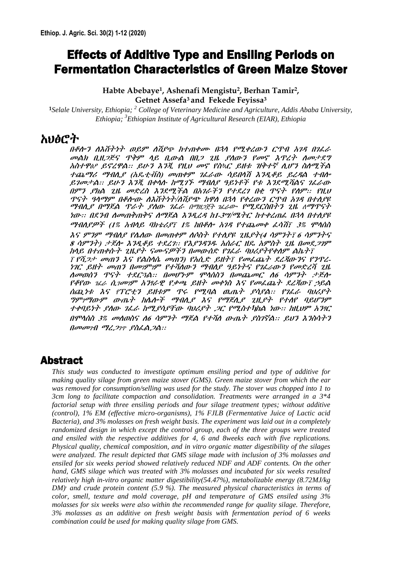# Effects of Additive Type and Ensiling Periods on Fermentation Characteristics of Green Maize Stover

**Habte Abebaye<sup>1</sup> , Ashenafi Mengistu<sup>2</sup> , Berhan Tamir<sup>2</sup> , Getnet Assefa<sup>3</sup> and Fekede Feyissa<sup>3</sup>**

**<sup>1</sup>***Selale University, Ethiopia; <sup>2</sup> College of Veterinary Medicine and Agriculture, Addis Ababa University, Ethiopia; <sup>3</sup>Ethiopian Institute of Agricultural Research (EIAR), Ethiopia*

## አህፅሮት

በቆሎን ለእሽታነት ወይም ለሽደጭ ከተጠቀሙ በ3ሳ የሚቀረውን ርዓብ አገዳ በገራራ መልክ ቢዚ*ጋጅና ፕቅም ላይ ቢውል በቢጋ ጊዜ ያለውን የመኖ እጥረት ስመታÅ*ዕ *አስተዋፅዖ ይኖረዋል። ይሁን እንጂ የዚህ መኖ የስኳር òቱ ´ ቅተኛ ሲሆን ስለሚችል*  $t\acute{u}$  The Franta (herrita) somet tölst nänn söku sala film  $\widetilde{A}$  for  $\tau$   $\widetilde{A}$ ::  $\beta$ U+3  $\widetilde{A}$ 3 $\widetilde{X}$ , A+A $\Lambda$  h=2 f5  $\,$  HAA  $\,$  3 f2 f3 f4  $\widetilde{A}$  as  $\widetilde{B}$   $\widetilde{C}$  as በምን ይክል *ቲº› መተረስ እን*ደሚችል በአገራችን የተደረገ በቂ ዋናተ የሰም፡፡ *¾,*ህ <u>ዋናት ዓላማም በቆሎው ለእሽተነት/ለሽደጭ ከዋለ በኋላ የቀረውን ርዋብ አንዳ በተለደዩ</u> <u>ማብሊÁ በማËል ምራት ያለው *ዛ*ðራ በማዘጋጀት ገፈራው የሚደርስበትን *ቲ*º, ለማዋናት</u>  $2\pi$ :: 0.230 Acronication of the 23,24 m-34/Chicago http://mail. 030 01:0A/ ሚብሊያዎች (1% አብላይ ባክቴሪÁ፣ 1% ከበቆሎ አንዳ የተጨመቀ ፌሳሽ፣ 3% ሞላሰስ  $\lambda$ s I"II" IHAL IAAD: NewÖPI" NOUT PTALE ZHLITA AI"ITT 6 AI"ITS  $8$  ሳምንተ) ታËሎ እንዲቆይ ተደረገ:: ¾£ንዳንዱ አሰራር ዘዴ አምስት ጊዜ በመደ*ጋገ*ም ከላይ በተጠቀሱተ ጊዜ*ያት ናሙናዎችን በመ*ውሰድ የ*ገሌራ ባህሪያተየቀስም ልኬተ*፣  $\bar{r}$  ¾ $\dot{\mathcal{O}}$ ታ መጠን እና የልስሳሴ መጠን) የአሲድ ይዘት $\bar{r}$  የመፌጨት ደረጃውንና የንኖረ-'Ñ` òƒ SÖ" uSገUገU ¾}hK¨<" TwKÁ ¯Ã'ƒ" ¾Ñðራ¨<" ¾SÉ[h Ñ>²? KS¨c" Ø"ƒ }Å`ÒM:: uSJ'<U VLce" uSÚS` K6 dU"ƒ zÏKA  $^{348}$ HQ;  $^{16}$  a  $^{10}$  and  $^{9}$  and  $^{9}$   $^{9}$   $^{9}$   $^{9}$   $^{10}$   $^{10}$   $^{10}$   $^{10}$   $^{10}$   $^{10}$   $^{10}$   $^{10}$   $^{10}$   $^{10}$   $^{10}$   $^{10}$   $^{10}$   $^{10}$   $^{10}$   $^{10}$   $^{10}$   $^{10}$   $^{10}$   $^{10}$   $^{10}$   $^{10}$   $^{$ ስቸ ነቱ እና የፐሮቲን ይዘቱም ዓ*ሩ ¾*ጊባል ዉጤት ይሳይል። የ*ነሌራ ባህሪ*ይት <u>ዕምንማውም ውጤት ከሌሎች ማብሊያ እና የማጀሊያ ጊዚያተ የተለየ ባይሆንም</u> ተቀባይነት ይሰው *ገፌራ ከሚይሳይቸው ባህሪይት ጋር የሚስተካከል ነው። ከዚህም አንፃር* በሞላሰስ *3% መለወስና ለ6 ሳምንት ማጅል የተሻለ ውጤት ያስገኛል። Ãህን እን*ስሳ*ትን*  $0$ መመንብ ማሪΟ $v$  Áስð AÒA::

## Abstract

*This study was conducted to investigate optimum ensiling period and type of additive for making quality silage from green maize stover (GMS). Green maize stover from which the ear was removed for consumption/selling was used for the study. The stover was chopped into 1 to 3cm long to facilitate compaction and consolidation. Treatments were arranged in a 3\*4 factorial setup with three ensiling periods and four silage treatment types; without additive (control), 1% EM (effective micro-organisms), 1% FJLB (Fermentative Juice of Lactic acid Bacteria), and 3% molasses on fresh weight basis. The experiment was laid out in a completely randomized design in which except the control group, each of the three groups were treated and ensiled with the respective additives for 4, 6 and 8weeks each with five replications. Physical quality, chemical composition, and in vitro organic matter digestibility of the silages were analyzed. The result depicted that GMS silage made with inclusion of 3% molasses and ensiled for six weeks period showed relatively reduced NDF and ADF contents. On the other hand, GMS silage which was treated with 3% molasses and incubated for six weeks resulted relatively high in-vitro organic matter digestibility(54.47%), metabolizable energy (8.72MJ/kg DM), and crude protein content (5.9 %). The measured physical characteristics in terms of color, smell, texture and mold coverage, pH and temperature of GMS ensiled using 3% molasses for six weeks were also within the recommended range for quality silage. Therefore, 3% molasses as an additive on fresh weight basis with fermentation period of 6 weeks combination could be used for making quality silage from GMS.*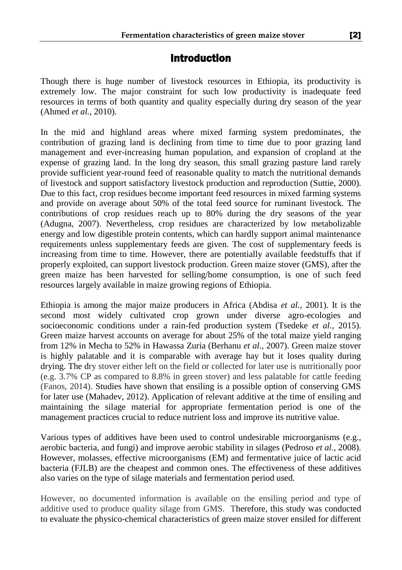## Introduction

Though there is huge number of livestock resources in Ethiopia, its productivity is extremely low. The major constraint for such low productivity is inadequate feed resources in terms of both quantity and quality especially during dry season of the year (Ahmed *et al.,* 2010).

In the mid and highland areas where mixed farming system predominates, the contribution of grazing land is declining from time to time due to poor grazing land management and ever-increasing human population, and expansion of cropland at the expense of grazing land. In the long dry season, this small grazing pasture land rarely provide sufficient year-round feed of reasonable quality to match the nutritional demands of livestock and support satisfactory livestock production and reproduction (Suttie, 2000). Due to this fact, crop residues become important feed resources in mixed farming systems and provide on average about 50% of the total feed source for ruminant livestock. The contributions of crop residues reach up to 80% during the dry seasons of the year (Adugna, 2007). Nevertheless, crop residues are characterized by low metabolizable energy and low digestible protein contents, which can hardly support animal maintenance requirements unless supplementary feeds are given. The cost of supplementary feeds is increasing from time to time. However, there are potentially available feedstuffs that if properly exploited, can support livestock production. Green maize stover (GMS), after the green maize has been harvested for selling/home consumption, is one of such feed resources largely available in maize growing regions of Ethiopia.

Ethiopia is among the major maize producers in Africa (Abdisa *et al.,* 2001). It is the second most widely cultivated crop grown under diverse agro-ecologies and socioeconomic conditions under a rain-fed production system (Tsedeke *et al.,* 2015). Green maize harvest accounts on average for about 25% of the total maize yield ranging from 12% in Mecha to 52% in Hawassa Zuria (Berhanu *et al.,* 2007). Green maize stover is highly palatable and it is comparable with average hay but it loses quality during drying. The dry stover either left on the field or collected for later use is nutritionally poor (e.g. 3.7% CP as compared to 8.8% in green stover) and less palatable for cattle feeding (Fanos, 2014). Studies have shown that ensiling is a possible option of conserving GMS for later use (Mahadev, 2012). Application of relevant additive at the time of ensiling and maintaining the silage material for appropriate fermentation period is one of the management practices crucial to reduce nutrient loss and improve its nutritive value.

Various types of additives have been used to control undesirable microorganisms (e.g., aerobic bacteria, and fungi) and improve aerobic stability in silages (Pedroso *et al.,* 2008). However, molasses, effective microorganisms (EM) and fermentative juice of lactic acid bacteria (FJLB) are the cheapest and common ones. The effectiveness of these additives also varies on the type of silage materials and fermentation period used.

However, no documented information is available on the ensiling period and type of additive used to produce quality silage from GMS. Therefore, this study was conducted to evaluate the physico-chemical characteristics of green maize stover ensiled for different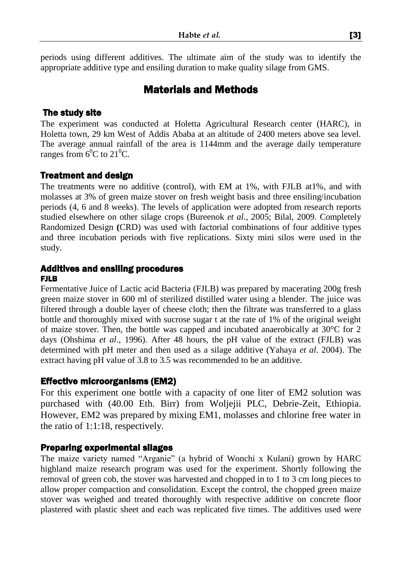periods using different additives. The ultimate aim of the study was to identify the appropriate additive type and ensiling duration to make quality silage from GMS.

## Materials and Methods

#### The study site

The experiment was conducted at Holetta Agricultural Research center (HARC), in Holetta town, 29 km West of Addis Ababa at an altitude of 2400 meters above sea level. The average annual rainfall of the area is 1144mm and the average daily temperature ranges from  $6^{\circ}$ C to  $21^{\circ}$ C.

### Treatment and design

The treatments were no additive (control), with EM at 1%, with FJLB at1%, and with molasses at 3% of green maize stover on fresh weight basis and three ensiling/incubation periods (4, 6 and 8 weeks). The levels of application were adopted from research reports studied elsewhere on other silage crops (Bureenok *et al.*, 2005; Bilal, 2009. Completely Randomized Design **(**CRD) was used with factorial combinations of four additive types and three incubation periods with five replications. Sixty mini silos were used in the study.

#### Additives and ensiling procedures FJLB

Fermentative Juice of Lactic acid Bacteria (FJLB) was prepared by macerating 200g fresh green maize stover in 600 ml of sterilized distilled water using a blender. The juice was filtered through a double layer of cheese cloth; then the filtrate was transferred to a glass bottle and thoroughly mixed with sucrose sugar t at the rate of 1% of the original weight of maize stover. Then, the bottle was capped and incubated anaerobically at 30°C for 2 days (Ohshima *et al*., 1996). After 48 hours, the pH value of the extract (FJLB) was determined with pH meter and then used as a silage additive (Yahaya *et al*. 2004). The extract having pH value of 3.8 to 3.5 was recommended to be an additive.

### Effective microorganisms (EM2)

For this experiment one bottle with a capacity of one liter of EM2 solution was purchased with (40.00 Eth. Birr) from Woljejii PLC, Debrie-Zeit, Ethiopia. However, EM2 was prepared by mixing EM1, molasses and chlorine free water in the ratio of 1:1:18, respectively.

#### Preparing experimental silages

The maize variety named "Arganie" (a hybrid of Wonchi x Kulani) grown by HARC highland maize research program was used for the experiment. Shortly following the removal of green cob, the stover was harvested and chopped in to 1 to 3 cm long pieces to allow proper compaction and consolidation. Except the control, the chopped green maize stover was weighed and treated thoroughly with respective additive on concrete floor plastered with plastic sheet and each was replicated five times. The additives used were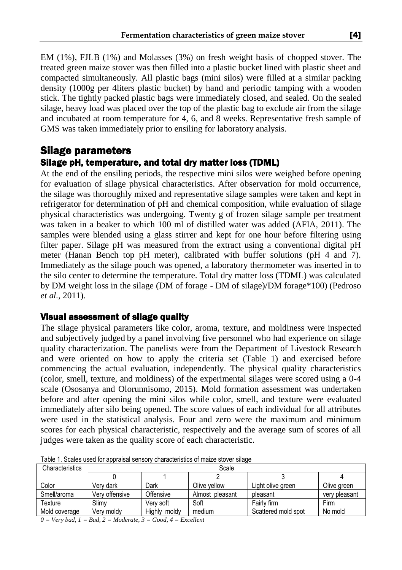EM (1%), FJLB (1%) and Molasses (3%) on fresh weight basis of chopped stover. The treated green maize stover was then filled into a plastic bucket lined with plastic sheet and compacted simultaneously. All plastic bags (mini silos) were filled at a similar packing density (1000g per 4liters plastic bucket) by hand and periodic tamping with a wooden stick. The tightly packed plastic bags were immediately closed, and sealed. On the sealed silage, heavy load was placed over the top of the plastic bag to exclude air from the silage and incubated at room temperature for 4, 6, and 8 weeks. Representative fresh sample of GMS was taken immediately prior to ensiling for laboratory analysis.

### Silage parameters Silage pH, temperature, and total dry matter loss (TDML)

At the end of the ensiling periods, the respective mini silos were weighed before opening for evaluation of silage physical characteristics. After observation for mold occurrence, the silage was thoroughly mixed and representative silage samples were taken and kept in refrigerator for determination of pH and chemical composition, while evaluation of silage physical characteristics was undergoing. Twenty g of frozen silage sample per treatment was taken in a beaker to which 100 ml of distilled water was added (AFIA, 2011). The samples were blended using a glass stirrer and kept for one hour before filtering using filter paper. Silage pH was measured from the extract using a conventional digital pH meter (Hanan Bench top pH meter), calibrated with buffer solutions (pH 4 and 7). Immediately as the silage pouch was opened, a laboratory thermometer was inserted in to the silo center to determine the temperature. Total dry matter loss (TDML) was calculated by DM weight loss in the silage (DM of forage - DM of silage)/DM forage\*100) (Pedroso *et al.,* 2011).

#### Visual assessment of silage quality

The silage physical parameters like color, aroma, texture, and moldiness were inspected and subjectively judged by a panel involving five personnel who had experience on silage quality characterization. The panelists were from the Department of Livestock Research and were oriented on how to apply the criteria set (Table 1) and exercised before commencing the actual evaluation, independently. The physical quality characteristics (color, smell, texture, and moldiness) of the experimental silages were scored using a 0-4 scale (Ososanya and Olorunnisomo, 2015). Mold formation assessment was undertaken before and after opening the mini silos while color, smell, and texture were evaluated immediately after silo being opened. The score values of each individual for all attributes were used in the statistical analysis. Four and zero were the maximum and minimum scores for each physical characteristic, respectively and the average sum of scores of all judges were taken as the quality score of each characteristic.

| Characteristics | Scale          |                 |                 |                     |               |  |
|-----------------|----------------|-----------------|-----------------|---------------------|---------------|--|
|                 |                |                 |                 |                     |               |  |
| Color           | Verv dark      | Dark            | Olive vellow    | Light olive green   | Olive green   |  |
| Smell/aroma     | Very offensive | Offensive       | Almost pleasant | pleasant            | very pleasant |  |
| Texture         | Slimv          | Verv soft       | Soft            | Fairly firm         | Firm          |  |
| Mold coverage   | Verv moldv     | Highly<br>moldy | medium          | Scattered mold spot | No mold       |  |

Table 1. Scales used for appraisal sensory characteristics of maize stover silage

*0 = Very bad, 1 = Bad, 2 = Moderate, 3 = Good, 4 = Excellent*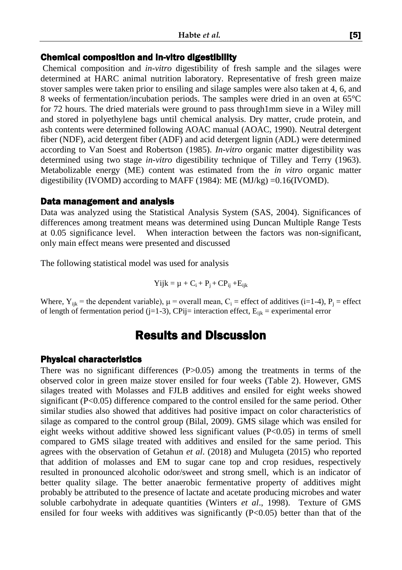#### Chemical composition and in-vitro digestibility

Chemical composition and *in-vitro* digestibility of fresh sample and the silages were determined at HARC animal nutrition laboratory. Representative of fresh green maize stover samples were taken prior to ensiling and silage samples were also taken at 4, 6, and 8 weeks of fermentation/incubation periods. The samples were dried in an oven at 65°C for 72 hours. The dried materials were ground to pass through1mm sieve in a Wiley mill and stored in polyethylene bags until chemical analysis. Dry matter, crude protein, and ash contents were determined following AOAC manual (AOAC, 1990). Neutral detergent fiber (NDF), acid detergent fiber (ADF) and acid detergent lignin (ADL) were determined according to Van Soest and Robertson (1985). *In-vitro* organic matter digestibility was determined using two stage *in-vitro* digestibility technique of Tilley and Terry (1963). Metabolizable energy (ME) content was estimated from the *in vitro* organic matter digestibility (IVOMD) according to MAFF (1984): ME (MJ/kg) =  $0.16$  (IVOMD).

#### Data management and analysis

Data was analyzed using the Statistical Analysis System (SAS, 2004). Significances of differences among treatment means was determined using Duncan Multiple Range Tests at 0.05 significance level. When interaction between the factors was non-significant, only main effect means were presented and discussed

The following statistical model was used for analysis

$$
Yijk = \mu + C_i + P_j + CP_{ij} + E_{ijk}
$$

Where,  $Y_{ijk}$  = the dependent variable),  $\mu$  = overall mean,  $C_i$  = effect of additives (i=1-4),  $P_i$  = effect of length of fermentation period (j=1-3), CPij= interaction effect,  $E_{ik}$  = experimental error

## Results and Discussion

### Physical characteristics

There was no significant differences (P>0.05) among the treatments in terms of the observed color in green maize stover ensiled for four weeks (Table 2). However, GMS silages treated with Molasses and FJLB additives and ensiled for eight weeks showed significant (P<0.05) difference compared to the control ensiled for the same period. Other similar studies also showed that additives had positive impact on color characteristics of silage as compared to the control group (Bilal, 2009). GMS silage which was ensiled for eight weeks without additive showed less significant values (P<0.05) in terms of smell compared to GMS silage treated with additives and ensiled for the same period. This agrees with the observation of Getahun *et al*. (2018) and Mulugeta (2015) who reported that addition of molasses and EM to sugar cane top and crop residues, respectively resulted in pronounced alcoholic odor/sweet and strong smell, which is an indicator of better quality silage. The better anaerobic fermentative property of additives might probably be attributed to the presence of lactate and acetate producing microbes and water soluble carbohydrate in adequate quantities (Winters *et al*., 1998). Texture of GMS ensiled for four weeks with additives was significantly  $(P<0.05)$  better than that of the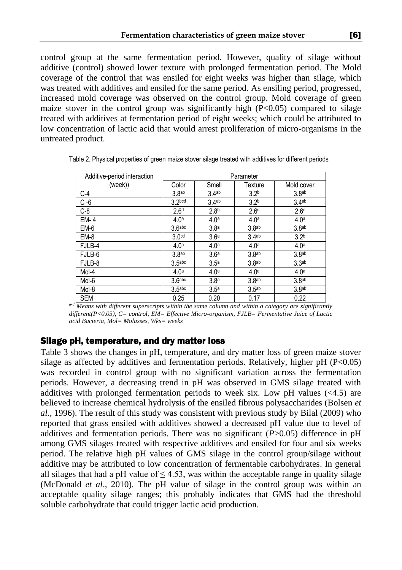control group at the same fermentation period. However, quality of silage without additive (control) showed lower texture with prolonged fermentation period. The Mold coverage of the control that was ensiled for eight weeks was higher than silage, which was treated with additives and ensiled for the same period. As ensiling period, progressed, increased mold coverage was observed on the control group. Mold coverage of green maize stover in the control group was significantly high  $(P<0.05)$  compared to silage treated with additives at fermentation period of eight weeks; which could be attributed to low concentration of lactic acid that would arrest proliferation of micro-organisms in the untreated product.

| Additive-period interaction | Parameter          |                   |                   |                   |  |
|-----------------------------|--------------------|-------------------|-------------------|-------------------|--|
| (week))                     | Color              | Smell             | Texture           | Mold cover        |  |
| C-4                         | 3.8 <sub>ab</sub>  | 3.4 <sub>ab</sub> | 3.2 <sup>b</sup>  | 3.8 <sub>ab</sub> |  |
| $C - 6$                     | 3.2 <sub>bcd</sub> | 3.4ab             | 3.2 <sup>b</sup>  | 3.4 <sup>ab</sup> |  |
| $C-8$                       | 2.6 <sup>d</sup>   | 2.8 <sup>b</sup>  | 2.6 <sup>c</sup>  | 2.6 <sup>c</sup>  |  |
| EM-4                        | 4.0 <sup>a</sup>   | 4.0 <sup>a</sup>  | 4.0 <sup>a</sup>  | 4.0 <sup>a</sup>  |  |
| EM-6                        | 3.6 <sup>abc</sup> | 3.8 <sup>a</sup>  | 3.8 <sup>ab</sup> | 3.8 <sub>ab</sub> |  |
| EM-8                        | 3.0 <sup>cd</sup>  | 3.6 <sup>a</sup>  | 3.4 <sup>ab</sup> | 3.2 <sup>b</sup>  |  |
| FJLB-4                      | 4.0 <sup>a</sup>   | 4.0 <sup>a</sup>  | 4.0 <sup>a</sup>  | 4.0 <sup>a</sup>  |  |
| FJLB-6                      | 3.8 <sub>ab</sub>  | 3.6 <sup>a</sup>  | 3.8 <sup>ab</sup> | 3.8 <sub>ab</sub> |  |
| FJLB-8                      | 3.5 <sub>abc</sub> | 3.5 <sup>a</sup>  | 3.8 <sub>ab</sub> | 3.3 <sub>ab</sub> |  |
| Mol-4                       | 4.0 <sup>a</sup>   | 4.0 <sup>a</sup>  | 4.0 <sup>a</sup>  | 4.0 <sup>a</sup>  |  |
| Mol-6                       | 3.6 <sub>abc</sub> | 3.8 <sup>a</sup>  | 3.8 <sub>ab</sub> | 3.8 <sub>ab</sub> |  |
| Mol-8                       | 3.5 <sub>abc</sub> | 3.5 <sup>a</sup>  | 3.5 <sup>ab</sup> | 3.8 <sub>ab</sub> |  |
| <b>SEM</b>                  | 0.25               | 0.20              | 0.17              | 0.22              |  |

Table 2. Physical properties of green maize stover silage treated with additives for different periods

*a-d Means with different superscripts within the same column and within a category are significantly different(P<0.05), C= control, EM= Effective Micro-organism, FJLB= Fermentative Juice of Lactic acid Bacteria, Mol= Molasses, Wks= weeks*

#### Silage pH, temperature, and dry matter loss

Table 3 shows the changes in pH, temperature, and dry matter loss of green maize stover silage as affected by additives and fermentation periods. Relatively, higher pH  $(P<0.05)$ was recorded in control group with no significant variation across the fermentation periods. However, a decreasing trend in pH was observed in GMS silage treated with additives with prolonged fermentation periods to week six. Low pH values  $(\leq 4.5)$  are believed to increase chemical hydrolysis of the ensiled fibrous polysaccharides (Bolsen *et al.,* 1996). The result of this study was consistent with previous study by Bilal (2009) who reported that grass ensiled with additives showed a decreased pH value due to level of additives and fermentation periods. There was no significant (*P*>0.05) difference in pH among GMS silages treated with respective additives and ensiled for four and six weeks period. The relative high pH values of GMS silage in the control group/silage without additive may be attributed to low concentration of fermentable carbohydrates. In general all silages that had a pH value of  $\leq 4.53$ , was within the acceptable range in quality silage (McDonald *et al*., 2010). The pH value of silage in the control group was within an acceptable quality silage ranges; this probably indicates that GMS had the threshold soluble carbohydrate that could trigger lactic acid production.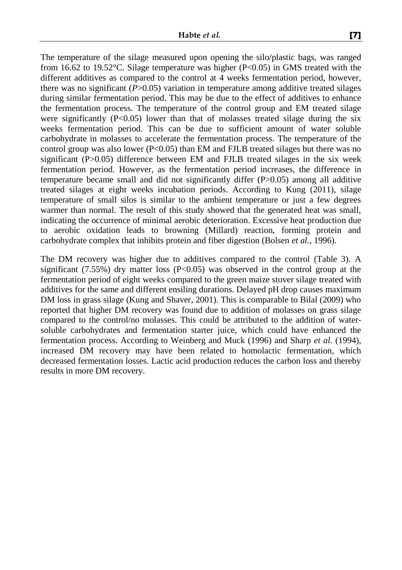The temperature of the silage measured upon opening the silo/plastic bags, was ranged from 16.62 to 19.52°C. Silage temperature was higher (P<0.05) in GMS treated with the different additives as compared to the control at 4 weeks fermentation period, however, there was no significant (*P*>0.05) variation in temperature among additive treated silages during similar fermentation period. This may be due to the effect of additives to enhance the fermentation process. The temperature of the control group and EM treated silage were significantly  $(P<0.05)$  lower than that of molasses treated silage during the six weeks fermentation period. This can be due to sufficient amount of water soluble carbohydrate in molasses to accelerate the fermentation process. The temperature of the control group was also lower ( $P<0.05$ ) than EM and FJLB treated silages but there was no significant (P>0.05) difference between EM and FJLB treated silages in the six week fermentation period. However, as the fermentation period increases, the difference in temperature became small and did not significantly differ (P>0.05) among all additive treated silages at eight weeks incubation periods. According to Kung (2011), silage temperature of small silos is similar to the ambient temperature or just a few degrees warmer than normal. The result of this study showed that the generated heat was small, indicating the occurrence of minimal aerobic deterioration. Excessive heat production due to aerobic oxidation leads to browning (Millard) reaction, forming protein and carbohydrate complex that inhibits protein and fiber digestion (Bolsen *et al.,* 1996).

The DM recovery was higher due to additives compared to the control (Table 3). A significant  $(7.55%)$  dry matter loss  $(P<0.05)$  was observed in the control group at the fermentation period of eight weeks compared to the green maize stover silage treated with additives for the same and different ensiling durations. Delayed pH drop causes maximum DM loss in grass silage (Kung and Shaver, 2001). This is comparable to Bilal (2009) who reported that higher DM recovery was found due to addition of molasses on grass silage compared to the control/no molasses. This could be attributed to the addition of watersoluble carbohydrates and fermentation starter juice, which could have enhanced the fermentation process. According to Weinberg and Muck (1996) and Sharp *et al.* (1994), increased DM recovery may have been related to homolactic fermentation, which decreased fermentation losses. Lactic acid production reduces the carbon loss and thereby results in more DM recovery.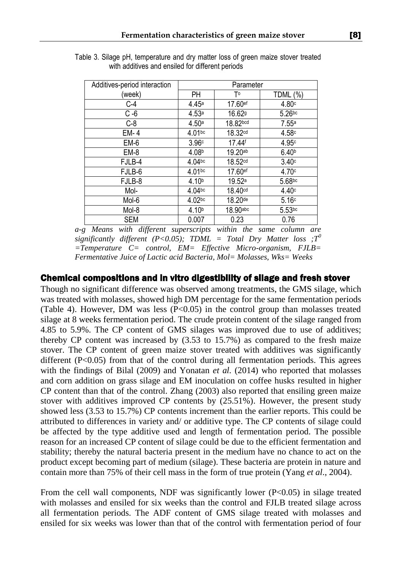| Additives-period interaction | Parameter          |                    |                   |  |  |
|------------------------------|--------------------|--------------------|-------------------|--|--|
| (week)                       | PН                 | Т٥                 | TDML (%)          |  |  |
| $C-4$                        | 4.45a              | 17.60ef            | 4.80c             |  |  |
| $C - 6$                      | 4.53a              | 16.62 <sup>g</sup> | $5.26$ bc         |  |  |
| $C-8$                        | 4.50a              | 18.82bcd           | 7.55a             |  |  |
| EM-4                         | 4.01bc             | 18.32cd            | 4.58c             |  |  |
| EM-6                         | 3.96c              | 17.44 <sup>f</sup> | 4.95c             |  |  |
| EM-8                         | 4.08b              | 19.20ab            | 6.40 <sub>b</sub> |  |  |
| FJLB-4                       | 4.04 <sub>bc</sub> | 18.52cd            | 3.40c             |  |  |
| FJLB-6                       | 4.01bc             | 17.60ef            | 4.70c             |  |  |
| FJLB-8                       | 4.10 <sup>b</sup>  | 19.52 <sup>a</sup> | 5.68bc            |  |  |
| Mol-                         | $4.04$ bc          | 18.40cd            | 4.40c             |  |  |
| Mol-6                        | 4.02bc             | 18.20de            | 5.16c             |  |  |
| Mol-8                        | 4.10 <sup>b</sup>  | 18.90abc           | $5.53$ bc         |  |  |
| <b>SEM</b>                   | 0.007              | 0.23               | 0.76              |  |  |

Table 3. Silage pH, temperature and dry matter loss of green maize stover treated with additives and ensiled for different periods

*a-g Means with different superscripts within the same column are significantly different (P<0.05); TDML = Total Dry Matter loss ;T<sup>0</sup> =Temperature C= control, EM= Effective Micro-organism, FJLB= Fermentative Juice of Lactic acid Bacteria, Mol= Molasses, Wks= Weeks*

#### Chemical compositions and in vitro digestibility of silage and fresh stover

Though no significant difference was observed among treatments, the GMS silage, which was treated with molasses, showed high DM percentage for the same fermentation periods (Table 4). However, DM was less  $(P<0.05)$  in the control group than molasses treated silage at 8 weeks fermentation period. The crude protein content of the silage ranged from 4.85 to 5.9%. The CP content of GMS silages was improved due to use of additives; thereby CP content was increased by (3.53 to 15.7%) as compared to the fresh maize stover. The CP content of green maize stover treated with additives was significantly different  $(P<0.05)$  from that of the control during all fermentation periods. This agrees with the findings of Bilal (2009) and Yonatan *et al.* (2014) who reported that molasses and corn addition on grass silage and EM inoculation on coffee husks resulted in higher CP content than that of the control. Zhang (2003) also reported that ensiling green maize stover with additives improved CP contents by (25.51%). However, the present study showed less (3.53 to 15.7%) CP contents increment than the earlier reports. This could be attributed to differences in variety and/ or additive type. The CP contents of silage could be affected by the type additive used and length of fermentation period. The possible reason for an increased CP content of silage could be due to the efficient fermentation and stability; thereby the natural bacteria present in the medium have no chance to act on the product except becoming part of medium (silage). These bacteria are protein in nature and contain more than 75% of their cell mass in the form of true protein (Yang *et al*., 2004).

From the cell wall components, NDF was significantly lower (P<0.05) in silage treated with molasses and ensiled for six weeks than the control and FJLB treated silage across all fermentation periods. The ADF content of GMS silage treated with molasses and ensiled for six weeks was lower than that of the control with fermentation period of four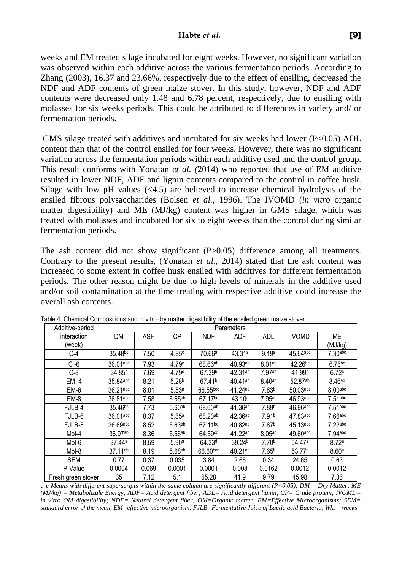weeks and EM treated silage incubated for eight weeks. However, no significant variation was observed within each additive across the various fermentation periods. According to Zhang (2003), 16.37 and 23.66%, respectively due to the effect of ensiling, decreased the NDF and ADF contents of green maize stover. In this study, however, NDF and ADF contents were decreased only 1.48 and 6.78 percent, respectively, due to ensiling with molasses for six weeks periods. This could be attributed to differences in variety and/ or fermentation periods.

GMS silage treated with additives and incubated for six weeks had lower ( $P<0.05$ ) ADL content than that of the control ensiled for four weeks. However, there was no significant variation across the fermentation periods within each additive used and the control group. This result conforms with Yonatan *et al. (*2014) who reported that use of EM additive resulted in lower NDF, ADF and lignin contents compared to the control in coffee husk. Silage with low pH values (<4.5) are believed to increase chemical hydrolysis of the ensiled fibrous polysaccharides (Bolsen *et al.,* 1996). The IVOMD (*in vitro* organic matter digestibility) and ME (MJ/kg) content was higher in GMS silage, which was treated with molasses and incubated for six to eight weeks than the control during similar fermentation periods.

The ash content did not show significant (P>0.05) difference among all treatments. Contrary to the present results, (Yonatan *et al*., 2014) stated that the ash content was increased to some extent in coffee husk ensiled with additives for different fermentation periods. The other reason might be due to high levels of minerals in the additive used and/or soil contamination at the time treating with respective additive could increase the overall ash contents.

| Additive-period    | Parameters          |            |                    |                     |                    |                    |              |                    |
|--------------------|---------------------|------------|--------------------|---------------------|--------------------|--------------------|--------------|--------------------|
| interaction        | <b>DM</b>           | <b>ASH</b> | <b>CP</b>          | <b>NDF</b>          | <b>ADF</b>         | <b>ADL</b>         | <b>IVOMD</b> | <b>ME</b>          |
| (week)             |                     |            |                    |                     |                    |                    |              | (MJ/kg)            |
| C-4                | 35.48bc             | 7.50       | 4.85c              | 70.66a              | 43.31a             | 9.19a              | 45.64abc     | $7.30$ abc         |
| $C - 6$            | 36.01abc            | 7.93       | 4.79c              | 68.66ab             | 40.93ab            | 8.01 <sub>ab</sub> | $42.26^{bc}$ | $6.76$ bc          |
| $C-8$              | 34.85c              | 7.69       | 4.79c              | 67.39 <sup>b</sup>  | 42.31ab            | 7.97ab             | 41.99c       | 6.72c              |
| $EM-4$             | 35.84abc            | 8.21       | 5.28 <sup>b</sup>  | 67.41 <sup>b</sup>  | 40.41ab            | 8.40 <sub>ab</sub> | 52.87ab      | 8.46 <sup>ab</sup> |
| EM-6               | 36.21abc            | 8.01       | 5.83a              | 66.55bcd            | 41.24ab            | 7.83 <sup>b</sup>  | $50.03$ abc  | $8.00$ abc         |
| EM-8               | 36.81abc            | 7.58       | 5.65ab             | 67.17bc             | 43.10a             | 7.95ab             | 46.93abc     | $7.51$ abc         |
| FJLB-4             | 35.46 <sup>bc</sup> | 7.73       | 5.60 <sub>ab</sub> | 68.60ab             | 41.36ab            | 7.89b              | 46.96abc     | $7.51$ abc         |
| FJLB-6             | 36.01abc            | 8.37       | 5.85a              | 68.20 <sup>ab</sup> | 42.36ab            | 7.91 <sup>b</sup>  | 47.83abc     | 7.66abc            |
| FJLB-8             | 36.69abc            | 8.52       | 5.63 <sub>ab</sub> | 67.11bc             | 40.82ab            | 7.87 <sup>b</sup>  | 45.13abc     | $7.22$ abc         |
| Mol-4              | 36.97ab             | 8.36       | 5.56 <sup>ab</sup> | 64.59 <sup>cd</sup> | 41.22ab            | 8.05 <sup>ab</sup> | $49.60$ abc  | $7.94$ abc         |
| Mol-6              | 37.44a              | 8.59       | 5.90a              | 64.33 <sup>d</sup>  | 39.24 <sup>b</sup> | 7.70 <sup>b</sup>  | 54.47a       | 8.72a              |
| Mol-8              | 37.11ab             | 8.19       | 5.68ab             | 66.60bcd            | 40.21ab            | 7.65 <sup>b</sup>  | 53.77a       | 8.60 <sup>a</sup>  |
| <b>SEM</b>         | 0.77                | 0.37       | 0.035              | 3.84                | 2.66               | 0.34               | 24.65        | 0.63               |
| P-Value            | 0.0004              | 0.069      | 0.0001             | 0.0001              | 0.008              | 0.0162             | 0.0012       | 0.0012             |
| Fresh green stover | 35                  | 7.12       | 5.1                | 65.28               | 41.9               | 9.79               | 45.98        | 7.36               |

Table 4. Chemical Compositions and in vitro dry matter digestibility of the ensiled green maize stover

*a-c Means with different superscripts within the same column are significantly different (P<0.05); DM = Dry Matter; ME (MJ/kg) = Metabolizale Energy; ADF= Acid detergent fiber; ADL= Acid detergent lignin; CP= Crude protein; IVOMD= in vitro OM digestibility; NDF= Neutral detergent fiber; OM=Organic matter; EM=Effective Microorganisms; SEM= standard error of the mean, EM=effective microorganism, FJLB=Fermentative Juice of Lactic acid Bacteria, Wks= weeks*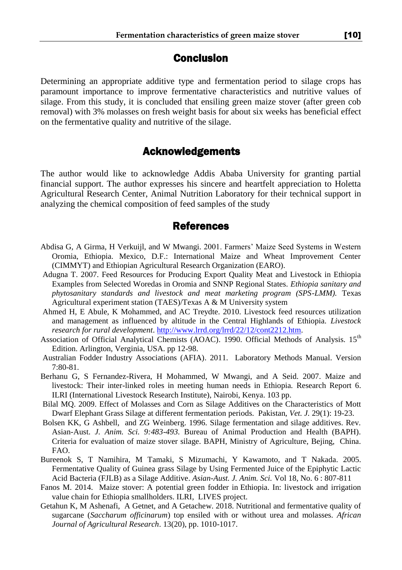## Conclusion

Determining an appropriate additive type and fermentation period to silage crops has paramount importance to improve fermentative characteristics and nutritive values of silage. From this study, it is concluded that ensiling green maize stover (after green cob removal) with 3% molasses on fresh weight basis for about six weeks has beneficial effect on the fermentative quality and nutritive of the silage.

## Acknowledgements

The author would like to acknowledge Addis Ababa University for granting partial financial support. The author expresses his sincere and heartfelt appreciation to Holetta Agricultural Research Center, Animal Nutrition Laboratory for their technical support in analyzing the chemical composition of feed samples of the study

### References

- Abdisa G, A Girma, H Verkuijl, and W Mwangi. 2001. Farmers' Maize Seed Systems in Western Oromia, Ethiopia. Mexico, D.F.: International Maize and Wheat Improvement Center (CIMMYT) and Ethiopian Agricultural Research Organization (EARO).
- Adugna T. 2007. Feed Resources for Producing Export Quality Meat and Livestock in Ethiopia Examples from Selected Woredas in Oromia and SNNP Regional States. *Ethiopia sanitary and phytosanitary standards and livestock and meat marketing program (SPS-LMM).* Texas Agricultural experiment station (TAES)/Texas A & M University system
- Ahmed H, E Abule, K Mohammed, and AC Treydte. 2010. Livestock feed resources utilization and management as influenced by altitude in the Central Highlands of Ethiopia. *Livestock research for rural development*. [http://www.lrrd.org/lrrd/22/12/cont2212.htm.](http://www.lrrd.org/lrrd/22/12/cont2212.htm)
- Association of Official Analytical Chemists (AOAC). 1990. Official Methods of Analysis. 15<sup>th</sup> Edition. Arlington, Verginia, USA. pp 12-98.
- Australian Fodder Industry Associations (AFIA). 2011. Laboratory Methods Manual. Version 7:80-81.
- Berhanu G, S Fernandez-Rivera, H Mohammed, W Mwangi, and A Seid. 2007. Maize and livestock: Their inter-linked roles in meeting human needs in Ethiopia*.* Research Report 6. ILRI (International Livestock Research Institute), Nairobi, Kenya. 103 pp.
- Bilal MQ. 2009. Effect of Molasses and Corn as Silage Additives on the Characteristics of Mott Dwarf Elephant Grass Silage at different fermentation periods. Pakistan, *Vet. J.* 29(1): 19-23.
- Bolsen KK, G Ashbell, and ZG Weinberg. 1996. Silage fermentation and silage additives. Rev. Asian-Aust. *J. Anim. Sci. 9:483-493*. Bureau of Animal Production and Health (BAPH). Criteria for evaluation of maize stover silage. BAPH, Ministry of Agriculture, Bejing, China. FAO.
- Bureenok S, T Namihira, M Tamaki, S Mizumachi, Y Kawamoto, and T Nakada. 2005. Fermentative Quality of Guinea grass Silage by Using Fermented Juice of the Epiphytic Lactic Acid Bacteria (FJLB) as a Silage Additive. *Asian-Aust. J. Anim. Sci.* Vol 18, No. 6 : 807-811
- Fanos M. 2014. Maize stover: A potential green fodder in Ethiopia. In: livestock and irrigation value chain for Ethiopia smallholders. ILRI, LIVES project.
- Getahun K, M Ashenafi, A Getnet, and A Getachew. 2018. Nutritional and fermentative quality of sugarcane (*Saccharum officinarum*) top ensiled with or without urea and molasses. *African Journal of Agricultural Research*. 13(20), pp. 1010-1017.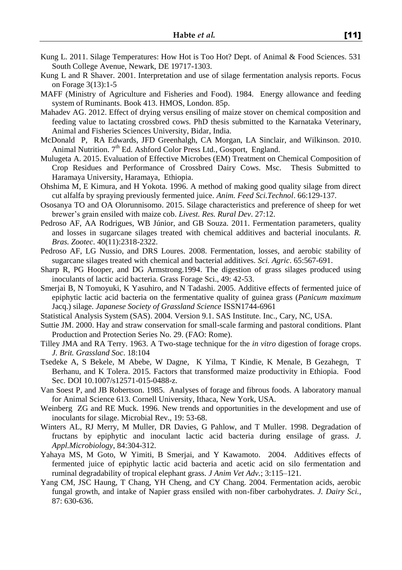- Kung L. 2011. Silage Temperatures: How Hot is Too Hot? Dept. of Animal & Food Sciences. 531 South College Avenue, Newark, DE 19717-1303.
- Kung L and R Shaver. 2001. Interpretation and use of silage fermentation analysis reports. Focus on Forage 3(13):1-5
- MAFF (Ministry of Agriculture and Fisheries and Food). 1984. Energy allowance and feeding system of Ruminants. Book 413. HMOS, London. 85p.
- Mahadev AG. 2012. Effect of drying versus ensiling of maize stover on chemical composition and feeding value to lactating crossbred cows. PhD thesis submitted to the Karnataka Veterinary, Animal and Fisheries Sciences University, Bidar, India.
- McDonald P, RA Edwards, JFD Greenhalgh, CA Morgan, LA Sinclair, and Wilkinson. 2010. Animal Nutrition. 7<sup>th</sup> Ed. Ashford Color Press Ltd., Gosport, England.
- Mulugeta A. 2015. Evaluation of Effective Microbes (EM) Treatment on Chemical Composition of Crop Residues and Performance of Crossbred Dairy Cows. Msc. Thesis Submitted to Haramaya University, Haramaya, Ethiopia.
- Ohshima M, E Kimura, and H Yokota. 1996. A method of making good quality silage from direct cut alfalfa by spraying previously fermented juice. *Anim. Feed Sci.Technol*. 66:129-137.
- Ososanya TO and OA Olorunnisomo. 2015. Silage characteristics and preference of sheep for wet brewer's grain ensiled with maize cob. *Livest. Res. Rural Dev*. 27:12.
- Pedroso AF, AA Rodrigues, WB Júnior, and GB Souza. 2011. Fermentation parameters, quality and losses in sugarcane silages treated with chemical additives and bacterial inoculants. *R. Bras. Zootec*. 40(11):2318-2322.
- Pedroso AF, LG Nussio, and DRS Loures. 2008. Fermentation, losses, and aerobic stability of sugarcane silages treated with chemical and bacterial additives. *Sci. Agric*. 65:567-691.
- Sharp R, PG Hooper, and DG Armstrong.1994. The digestion of grass silages produced using inoculants of lactic acid bacteria. Grass Forage Sci., 49: 42-53.
- Smerjai B, N Tomoyuki, K Yasuhiro, and N Tadashi. 2005. Additive effects of fermented juice of epiphytic lactic acid bacteria on the fermentative quality of guinea grass (*Panicum maximum*  Jacq.) silage. *Japanese Society of Grassland Science* ISSN1744-6961
- Statistical Analysis System (SAS). 2004. Version 9.1. SAS Institute. Inc., Cary, NC, USA.
- Suttie JM. 2000. Hay and straw conservation for small-scale farming and pastoral conditions. Plant Production and Protection Series No. 29. (FAO: Rome).
- Tilley JMA and RA Terry. 1963. A Two-stage technique for the *in vitro* digestion of forage crops. *J. Brit. Grassland Soc*. 18:104
- Tsedeke A, S Bekele, M Abebe, W Dagne, K Yilma, T Kindie, K Menale, B Gezahegn, T Berhanu, and K Tolera. 2015. Factors that transformed maize productivity in Ethiopia. Food Sec. DOI 10.1007/s12571-015-0488-z.
- Van Soest P, and JB Robertson. 1985. Analyses of forage and fibrous foods. A laboratory manual for Animal Science 613. Cornell University, Ithaca, New York, USA.
- Weinberg ZG and RE Muck. 1996. New trends and opportunities in the development and use of inoculants for silage. Microbial Rev., 19: 53-68.
- Winters AL, RJ Merry, M Muller, DR Davies, G Pahlow, and T Muller. 1998. Degradation of fructans by epiphytic and inoculant lactic acid bacteria during ensilage of grass. *J. Appl.Microbiology*, 84:304-312.
- Yahaya MS, M Goto, W Yimiti, B Smerjai, and Y Kawamoto. 2004. Additives effects of fermented juice of epiphytic lactic acid bacteria and acetic acid on silo fermentation and ruminal degradability of tropical elephant grass. *J Anim Vet Adv.*; 3:115–121.
- Yang CM, JSC Haung, T Chang, YH Cheng, and CY Chang. 2004. Fermentation acids, aerobic fungal growth, and intake of Napier grass ensiled with non-fiber carbohydrates. *J. Dairy Sci.*, 87: 630-636.